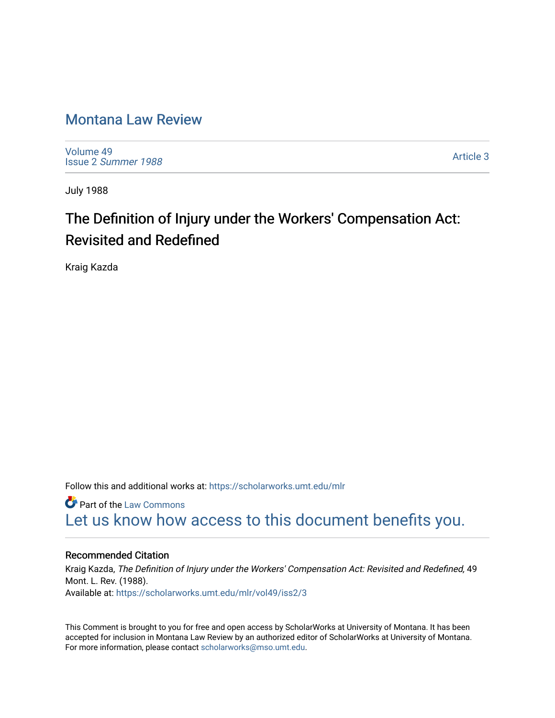# [Montana Law Review](https://scholarworks.umt.edu/mlr)

[Volume 49](https://scholarworks.umt.edu/mlr/vol49) Issue 2 [Summer 1988](https://scholarworks.umt.edu/mlr/vol49/iss2) 

[Article 3](https://scholarworks.umt.edu/mlr/vol49/iss2/3) 

July 1988

# The Definition of Injury under the Workers' Compensation Act: Revisited and Redefined

Kraig Kazda

Follow this and additional works at: [https://scholarworks.umt.edu/mlr](https://scholarworks.umt.edu/mlr?utm_source=scholarworks.umt.edu%2Fmlr%2Fvol49%2Fiss2%2F3&utm_medium=PDF&utm_campaign=PDFCoverPages) 

**Part of the [Law Commons](http://network.bepress.com/hgg/discipline/578?utm_source=scholarworks.umt.edu%2Fmlr%2Fvol49%2Fiss2%2F3&utm_medium=PDF&utm_campaign=PDFCoverPages)** [Let us know how access to this document benefits you.](https://goo.gl/forms/s2rGfXOLzz71qgsB2) 

## Recommended Citation

Kraig Kazda, The Definition of Injury under the Workers' Compensation Act: Revisited and Redefined, 49 Mont. L. Rev. (1988). Available at: [https://scholarworks.umt.edu/mlr/vol49/iss2/3](https://scholarworks.umt.edu/mlr/vol49/iss2/3?utm_source=scholarworks.umt.edu%2Fmlr%2Fvol49%2Fiss2%2F3&utm_medium=PDF&utm_campaign=PDFCoverPages) 

This Comment is brought to you for free and open access by ScholarWorks at University of Montana. It has been accepted for inclusion in Montana Law Review by an authorized editor of ScholarWorks at University of Montana. For more information, please contact [scholarworks@mso.umt.edu.](mailto:scholarworks@mso.umt.edu)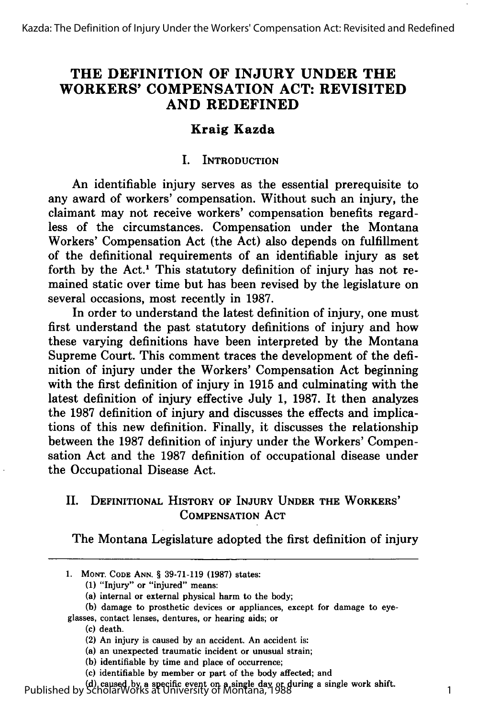# **THE DEFINITION OF INJURY UNDER THE WORKERS' COMPENSATION ACT: REVISITED AND REDEFINED**

## **Kraig Kazda**

#### I. **INTRODUCTION**

An identifiable injury serves as the essential prerequisite to any award of workers' compensation. Without such an injury, the claimant may not receive workers' compensation benefits regardless of the circumstances. Compensation under the Montana Workers' Compensation Act (the Act) also depends on fulfillment of the definitional requirements of an identifiable injury as set forth by the Act.<sup>1</sup> This statutory definition of injury has not remained static over time but has been revised **by** the legislature on several occasions, most recently in **1987.**

In order to understand the latest definition of injury, one must first understand the past statutory definitions of injury and how these varying definitions have been interpreted **by** the Montana Supreme Court. This comment traces the development of the definition of injury under the Workers' Compensation Act beginning with the first definition of injury in **1915** and culminating with the latest definition of injury effective July **1, 1987.** It then analyzes the **1987** definition of injury and discusses the effects and implications of this new definition. Finally, it discusses the relationship between the **1987** definition of injury under the Workers' Compensation Act and the **1987** definition of occupational disease under the Occupational Disease Act.

### II. **DEFINITIONAL HISTORY OF INJURY UNDER THE WORKERS' COMPENSATION ACT**

The Montana Legislature adopted the first definition of injury

(c) death.

**(d)** caused **by** a specific event on a single day or during a single work shift. Published by ScholarWorks at University of Montana, 1988

**<sup>1.</sup> MONT. CODE ANN.** § **39-71-119 (1987)** states:

**<sup>(1)</sup>** "Injury" or "injured" means:

<sup>(</sup>a) internal or external physical harm to the body;

**<sup>(</sup>b)** damage to prosthetic devices or appliances, except for damage to eye-

glasses, contact lenses, dentures, or hearing aids; or

<sup>(2)</sup> An injury is caused **by** an accident. An accident is:

<sup>(</sup>a) an unexpected traumatic incident or unusual strain;

**<sup>(</sup>b)** identifiable **by** time and place of occurrence;

<sup>(</sup>c) identifiable **by** member or part of the body affected; and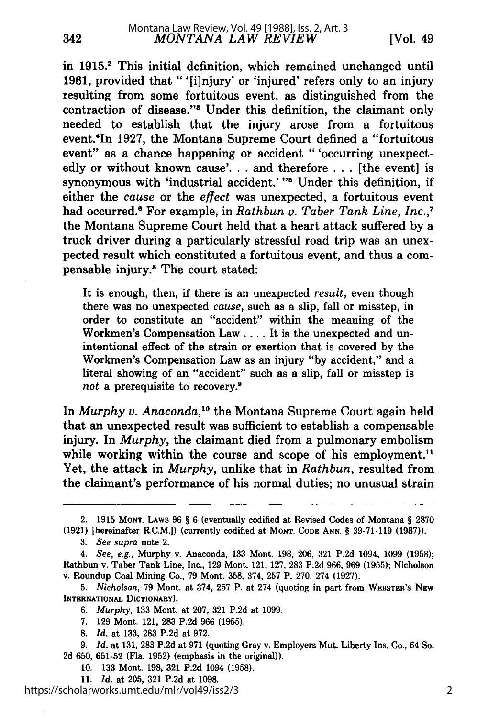in **1915.2** This initial definition, which remained unchanged until **1961,** provided that "'[i]njury' or 'injured' refers only to an injury resulting from some fortuitous event, as distinguished from the contraction of disease."<sup>3</sup> Under this definition, the claimant only needed to establish that the injury arose from a fortuitous event.'In **1927,** the Montana Supreme Court defined a "fortuitous event" as a chance happening or accident "'occurring unexpectedly or without known cause'.., and therefore **...** [the event] is synonymous with 'industrial accident.' "<sup>5</sup> Under this definition, if either the *cause* or the *effect* was unexpected, a fortuitous event had occurred." For example, in *Rathbun v. Taber Tank Line, Inc.,7* the Montana Supreme Court held that a heart attack suffered **by** a truck driver during a particularly stressful road trip was an unexpected result which constituted a fortuitous event, and thus a compensable injury.<sup>8</sup> The court stated:

It is enough, then, if there is an unexpected *result,* even though there was no unexpected *cause,* such as a slip, fall or misstep, in order to constitute an "accident" within the meaning of the Workmen's Compensation Law .... It is the unexpected and unintentional effect of the strain or exertion that is covered **by** the Workmen's Compensation Law as an injury **"by** accident," and a literal showing of an "accident" such as a slip, fall or misstep is not a prerequisite to recovery.<sup>9</sup>

In *Murphy v. Anaconda,10* the Montana Supreme Court again held that an unexpected result was sufficient to establish a compensable injury. In *Murphy,* the claimant died from a pulmonary embolism while working within the course and scope of his employment.<sup>11</sup> Yet, the attack in *Murphy,* unlike that in *Rathbun,* resulted from the claimant's performance of his normal duties; no unusual strain

**11.** *Id.* at **205, 321 P.2d** at **1098.**

<sup>2.</sup> **1915 MONT. LAWS 96** § **6** (eventually codified at Revised Codes of Montana § **2870 (1921)** [hereinafter R.C.M.]) (currently codified at **MONT. CoDE ANN.** § **39-71-119 (1987)).**

*<sup>3.</sup> See supra* note 2.

*<sup>4.</sup> See, e.g.,* Murphy v. Anaconda, **133** Mont. **198, 206, 321 P.2d** 1094, **1099 (1958);** Rathbun v. Taber Tank Line, Inc., **129** Mont. 121, **127, 283 P.2d 966, 969 (1955);** Nicholson v. Roundup Coal Mining Co., **79** Mont. **358,** 374, **257** P. **270,** 274 **(1927).**

*<sup>5.</sup> Nicholson,* **79** Mont. at 374, **257** P. at 274 (quoting in part from **WEBSTER'S NEW INTERNATIONAL DICTIONARY).**

*<sup>6.</sup> Murphy,* **133** Mont. at **207, 321 P.2d** at **1099.**

**<sup>7. 129</sup>** Mont. 121, **283 P.2d 966 (1955).**

**<sup>8.</sup>** *Id.* at **133, 283 P.2d** at **972.**

**<sup>9.</sup>** *Id.* at **131, 283 P.2d** at **971** (quoting Gray v. Employers Mut. Liberty Ins. Co., 64 So. **2d 650, 651-52** (Fla. **1952)** (emphasis in the original)).

**<sup>10. 133</sup>** Mont. **198, 321 P.2d** 1094 **(1958).**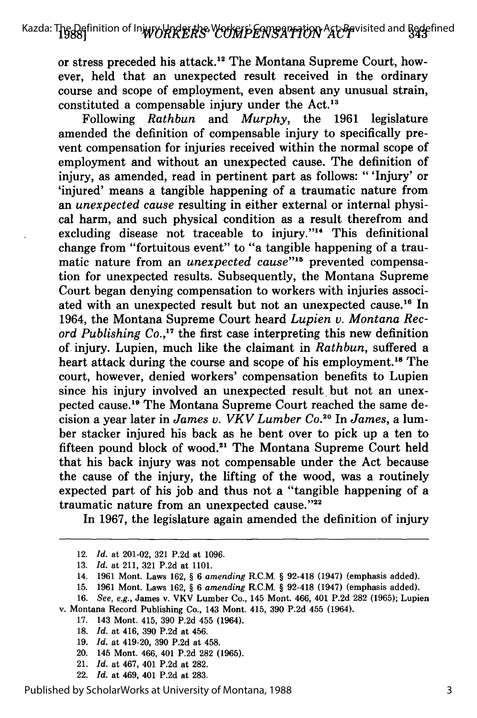or stress preceded his attack.<sup>12</sup> The Montana Supreme Court, however, held that an unexpected result received in the ordinary course and scope of employment, even absent any unusual strain, constituted a compensable injury under the Act.<sup>13</sup>

Following *Rathbun* and *Murphy,* the **1961** legislature amended the definition of compensable injury to specifically prevent compensation for injuries received within the normal scope of employment and without an unexpected cause. The definition of injury, as amended, read in pertinent part as follows: "'Injury' or 'injured' means a tangible happening of a traumatic nature from an *unexpected cause* resulting in either external or internal physical harm, and such physical condition as a result therefrom and excluding disease not traceable to injury."<sup>14</sup> This definitional change from "fortuitous event" to "a tangible happening of a traumatic nature from an *unexpected cause"'"* prevented compensation for unexpected results. Subsequently, the Montana Supreme Court began denying compensation to workers with injuries associated with an unexpected result but not an unexpected cause.<sup>16</sup> In 1964, the Montana Supreme Court heard *Lupien v. Montana Record Publishing Co.*,<sup>17</sup> the first case interpreting this new definition of injury. Lupien, much like the claimant in *Rathbun,* suffered a heart attack during the course and scope of his employment.<sup>18</sup> The court, however, denied workers' compensation benefits to Lupien since his injury involved an unexpected result but not an unexpected cause.<sup>19</sup> The Montana Supreme Court reached the same decision a year later in *James v. VKV Lumber Co.20* In *James,* a lumber stacker injured his back as he bent over to pick up a ten to fifteen pound block of wood.<sup>21</sup> The Montana Supreme Court held that his back injury was not compensable under the Act because the cause of the injury, the lifting of the wood, was a routinely expected part of his **job** and thus not a "tangible happening of a traumatic nature from an unexpected cause."22

In **1967,** the legislature again amended the definition of injury

- **17.** 143 Mont. 415, **390 P.2d** 455 (1964).
- **18.** *Id.* at 416, **390 P.2d** at 456.
- **19.** *Id.* at 419-20, **390 P.2d** at 458.
- 20. 145 Mont. 466, 401 **P.2d 282 (1965).**
- 21. *Id.* at 467, 401 **P.2d** at **282.**
- 22. *Id.* at 469, 401 **P.2d** at **283.**

Published by ScholarWorks at University of Montana, 1988

<sup>12.</sup> *Id.* at 201-02, **321 P.2d** at **1096.**

**<sup>13.</sup>** *Id.* at 211, **321 P.2d** at **1101.**

<sup>14.</sup> **1961** Mont. Laws **162,** § **6** *amending* R.C.M. § 92-418 (1947) (emphasis added).

**<sup>15. 1961</sup>** Mont. Laws **162,** § **6** *amending* R.C.M. § 92-418 (1947) (emphasis added).

**<sup>16.</sup>** *See, e.g.,* James v. VKV Lumber Co., 145 Mont. 466, 401 **P.2d 282 (1965);** Lupien v. Montana Record Publishing Co., 143 Mont. 415, **390 P.2d** 455 (1964).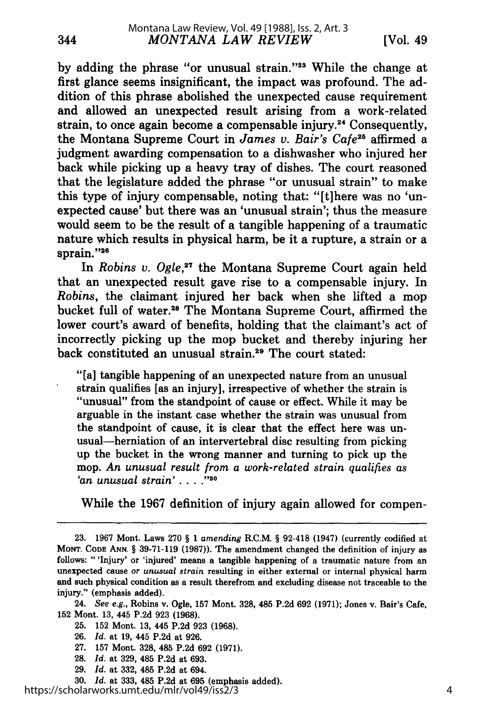344

by adding the phrase "or unusual strain."<sup>23</sup> While the change at first glance seems insignificant, the impact was profound. The addition of this phrase abolished the unexpected cause requirement and allowed an unexpected result arising from a work-related strain, to once again become a compensable injury.<sup>24</sup> Consequently, the Montana Supreme Court in *James v. Bair's Cafe<sup>25</sup>* affirmed a judgment awarding compensation to a dishwasher who injured her back while picking up a heavy tray of dishes. The court reasoned that the legislature added the phrase "or unusual strain" to make this type of injury compensable, noting that: "[tlhere was no 'unexpected cause' but there was an 'unusual strain'; thus the measure would seem to be the result of a tangible happening of a traumatic nature which results in physical harm, be it a rupture, a strain or a sprain."<sup>2</sup>

In *Robins v. Ogle*,<sup>27</sup> the Montana Supreme Court again held that an unexpected result gave rise to a compensable injury. In *Robins,* the claimant injured her back when she lifted a mop bucket full of water.<sup>28</sup> The Montana Supreme Court, affirmed the lower court's award of benefits, holding that the claimant's act of incorrectly picking up the mop bucket and thereby injuring her back constituted an unusual strain.<sup>29</sup> The court stated:

"[a] tangible happening of an unexpected nature from an unusual strain qualifies [as an injury], irrespective of whether the strain is "unusual" from the standpoint of cause or effect. While it may be arguable in the instant case whether the strain was unusual from the standpoint of cause, it is clear that the effect here was unusual-herniation of an intervertebral disc resulting from picking up the bucket in the wrong manner and turning to pick up the mop. *An unusual result from a work-related strain qualifies as 'an unusual strain .....*

While the 1967 definition of injury again allowed for compen-

24. *See e.g.,* Robins v. Ogle, **157** Mont. **328,** 485 P.2d **692** (1971); Jones v. Bair's Cafe, **152** Mont. **13,** 445 P.2d **923 (1968).**

- **25. 152** Mont. **13,** 445 P.2d **923 (1968).**
- **26.** *Id.* at **19,** 445 P.2d at **926.**
- **27. 157** Mont. **328,** 485 P.2d **692** (1971).
- **28.** *Id.* at **329,** 485 P.2d at 693.
- **29.** *Id.* at **332,** 485 P.2d at 694.
- **30.** *Id.* at **333,** 485 P.2d at **695** (emphasis added).

<sup>23. 1967</sup> Mont. Laws 270 § 1 *amending* R.C.M. § 92-418 (1947) (currently codified at **MONT. CODE ANN.** § 39-71-119 (1987)). The amendment changed the definition of injury as follows: "'Injury' or 'injured' means a tangible happening of a traumatic nature from an unexpected cause or *unusual strain* resulting in either external or internal physical harm and such physical condition as a result therefrom and excluding disease not traceable to the injury." (emphasis added).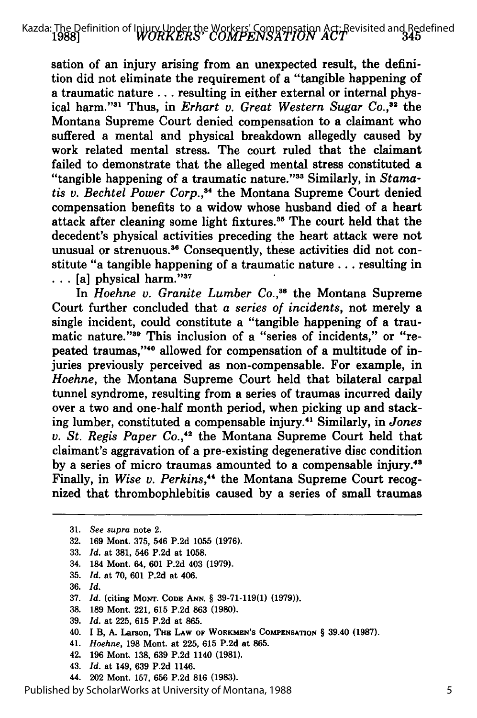*WORKERS' COMPENSATION ACT* **19881** Kazda: The Definition of Injury Under the Workers' Compensation Act: Revisited and Redefined

sation of an injury arising from an unexpected result, the definition did not eliminate the requirement of a "tangible happening of a traumatic nature **...** resulting in either external or internal physical harm."<sup>31</sup> Thus, in *Erhart v. Great Western Sugar Co.*,<sup>32</sup> the Montana Supreme Court denied compensation to a claimant who suffered a mental and physical breakdown allegedly caused by work related mental stress. The court ruled that the claimant failed to demonstrate that the alleged mental stress constituted a "tangible happening of a traumatic nature."<sup>33</sup> Similarly, in *Stamatis v. Bechtel Power Corp.,"* the Montana Supreme Court denied compensation benefits to a widow whose husband died of a heart attack after cleaning some light fixtures.<sup>35</sup> The court held that the decedent's physical activities preceding the heart attack were not unusual or strenuous.<sup>36</sup> Consequently, these activities did not constitute "a tangible happening of a traumatic nature.., resulting in  $\ldots$  [a] physical harm."<sup>37</sup>

In *Hoehne v. Granite Lumber Co.,38* the Montana Supreme Court further concluded that a *series of incidents,* not merely a single incident, could constitute a "tangible happening of a traumatic nature."<sup>39</sup> This inclusion of a "series of incidents," or "repeated traumas,"<sup>40</sup> allowed for compensation of a multitude of injuries previously perceived as non-compensable. For example, in *Hoehne,* the Montana Supreme Court held that bilateral carpal tunnel syndrome, resulting from a series of traumas incurred daily over a two and one-half month period, when picking up and stacking lumber, constituted a compensable injury.41 Similarly, in *Jones v. St. Regis Paper* Co., 42 the Montana Supreme Court held that claimant's aggravation of a pre-existing degenerative disc condition by a series of micro traumas amounted to a compensable injury.<sup>43</sup> Finally, in *Wise v. Perkins,'4* the Montana Supreme Court recognized that thrombophlebitis caused by a series of small traumas

- 33. *Id.* at 381, 546 P.2d at 1058.
- 34. 184 Mont. 64, 601 P.2d 403 (1979).
- 35. *Id.* at 70, 601 P.2d at 406.
- 36. *Id.*
- **37.** *Id.* (citing **MONT. CODE ANN.** § **39-71-119(1) (1979)).**
- **38. 189** Mont. 221, **615 P.2d 863 (1980).**
- **39.** *Id.* at **225, 615 P.2d** at **865.**
- 40. **I** B, **A.** Larson, **THE LAW OF WORKMEN'S COMPENSATION** § 39.40 **(1987).**
- 41. *Hoehne,* **198** Mont. at **225, 615 P.2d** at **865.**
- 42. **196** Mont. **138, 639 P.2d** 1140 **(1981).**
- 43. *Id.* at 149, **639 P.2d** 1146.
- 44. 202 Mont. **157, 656 P.2d 816 (1983).**

Published by ScholarWorks at University of Montana, 1988

<sup>31.</sup> *See supra* note 2.

<sup>32. 169</sup> Mont. 375, 546 P.2d 1055 (1976).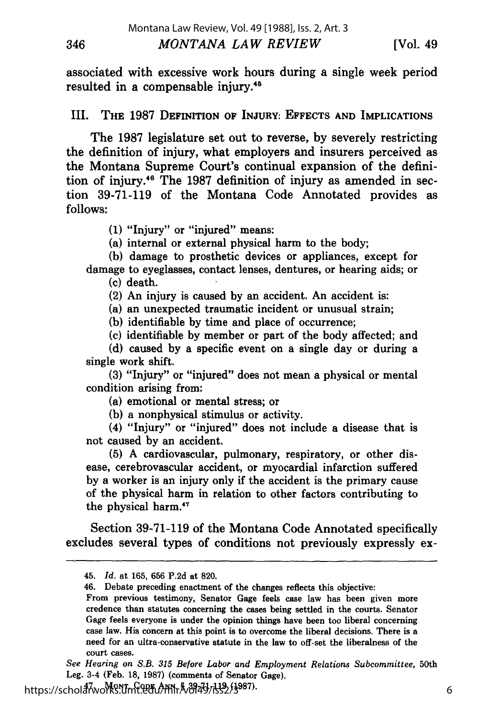associated with excessive work hours during a single week period resulted in a compensable injury.<sup>45</sup>

#### **III.** THE 1987 **DEFINITION** OF **INJURY: EFFECTS AND IMPLICATIONS**

The **1987** legislature set out to reverse, **by** severely restricting the definition of injury, what employers and insurers perceived as the Montana Supreme Court's continual expansion of the definition of injury."6 The **1987** definition of injury as amended in section **39-71-119** of the Montana Code Annotated provides as **follows:**

**(1)** "Injury" or "injured" means:

346

(a) internal or external physical harm to the body;

**(b)** damage to prosthetic devices or appliances, except for damage to eyeglasses, contact lenses, dentures, or hearing aids; or **(c)** death.

(2) An injury is caused by an accident. An accident is:

(a) an unexpected traumatic incident or unusual strain;

(b) identifiable by time and place of occurrence;

(c) identifiable by member or part of the body affected; and

(d) caused by a specific event on a single day or during a single work shift.

**(3)** "Injury" or "injured" does not mean a physical or mental condition arising from:

(a) emotional or mental stress; or

**(b)** a nonphysical stimulus or activity.

(4) "Injury" or "injured" does not include a disease that is not caused by an accident.

(5) A cardiovascular, pulmonary, respiratory, or other disease, cerebrovascular accident, or myocardial infarction suffered by a worker is an injury only if the accident is the primary cause of the physical harm in relation to other factors contributing to the physical harm.<sup>47</sup>

Section 39-71-119 of the Montana Code Annotated specifically excludes several types of conditions not previously expressly ex-

https://schol**arworks.umt.edu/ml**r&394437352/3987)

<sup>45.</sup> *Id.* at 165, 656 P.2d at 820.

<sup>46.</sup> Debate preceding enactment of the changes reflects this objective:

From previous testimony, Senator Gage feels case law has been given more credence than statutes concerning the cases being settled in the courts. Senator Gage feels everyone is under the opinion things have been too liberal concerning case law. His concern at this point is to overcome the liberal decisions. There is a need for an ultra-conservative statute in the law to off-set the liberalness of the court cases. *See Hearing on S.B. 315 Before Labor and Employment Relations Subcommittee,* 50th

Leg. 3-4 (Feb. 18, 1987) (comments of Senator Gage).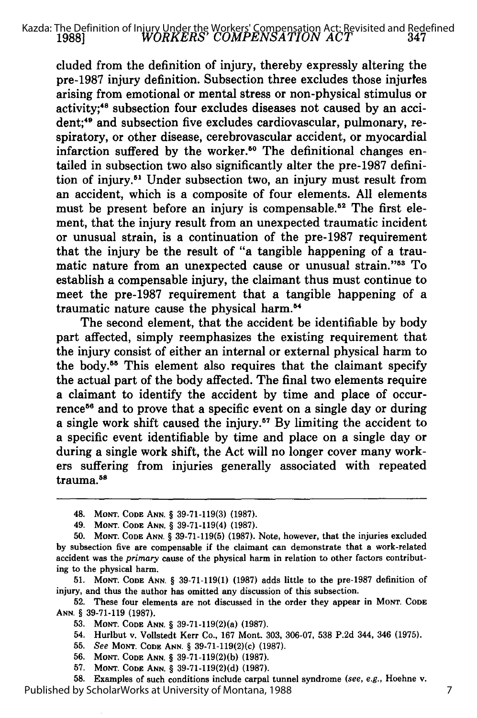#### *WORKERS' COMPENSATION ACT* **19881** Kazda: The Definition of Injury Under the Workers' Compensation Act: Revisited and Redefined

cluded from the definition of injury, thereby expressly altering the pre-1987 injury definition. Subsection three excludes those injurtes arising from emotional or mental stress or non-physical stimulus or activity;"8 subsection four excludes diseases not caused **by** an accident;<sup>49</sup> and subsection five excludes cardiovascular, pulmonary, respiratory, or other disease, cerebrovascular accident, or myocardial infarction suffered by the worker.<sup>50</sup> The definitional changes entailed in subsection two also significantly alter the pre-1987 definition of injury.<sup>51</sup> Under subsection two, an injury must result from an accident, which is a composite of four elements. **All** elements must be present before an injury is compensable.<sup>52</sup> The first element, that the injury result from an unexpected traumatic incident or unusual strain, is a continuation of the pre-1987 requirement that the injury be the result of "a tangible happening of a traumatic nature from an unexpected cause or unusual strain."<sup>53</sup> To establish a compensable injury, the claimant thus must continue to meet the pre-1987 requirement that a tangible happening of a traumatic nature cause the physical harm.<sup>54</sup>

The second element, that the accident be identifiable **by** body part affected, simply reemphasizes the existing requirement that the injury consist of either an internal or external physical harm to the body.55 This element also requires that the claimant specify the actual part of the body affected. The final two elements require a claimant to identify the accident **by** time and place of occurrence<sup>56</sup> and to prove that a specific event on a single day or during a single work shift caused the injury.57 **By** limiting the accident to a specific event identifiable **by** time and place on a single day or during a single work shift, the Act will no longer cover many workers suffering from injuries generally associated with repeated trauma.<sup>58</sup>

**51. MONT. CODE ANN.** § **39-71-119(1) (1987)** adds little to the pre-1987 definition of injury, and thus the author has omitted any discussion of this subsection.

**52.** These four elements are not discussed in the order they appear in **MONT. CODE ANN.** § **39-71-119 (1987).**

**53. MONT. CODE ANN.** § 39-71-119(2)(a) **(1987).**

54. Hurlbut v. Vollstedt Kerr Co., **167** Mont. **303, 306-07, 538 P.2d** 344, 346 **(1975).**

- **55.** *See* **MONT. CODE ANN.** § 39-71-119(2)(c) **(1987).**
- **56. MONT. CODE ANN.** § **39-71-119(2)(b) (1987).**
- **57. MONT. CODE ANN.** § **39-71-119(2)(d) (1987).**

**58.** Examples of such conditions include carpal tunnel syndrome *(see, e.g.,* Hoehne v. Published by ScholarWorks at University of Montana, 1988

<sup>48.</sup> **MONT. CODE ANN.** § **39-71-119(3) (1987).**

<sup>49.</sup> **MONT. CODE ANN.** § **39-71-119(4) (1987).**

**<sup>50.</sup> MONT. CODE ANN.** § **39-71-119(5) (1987).** Note, however, that the injuries excluded **by** subsection five are compensable if the claimant can demonstrate that a work-related accident was the *primary* cause of the physical harm in relation to other factors contributing to the physical harm.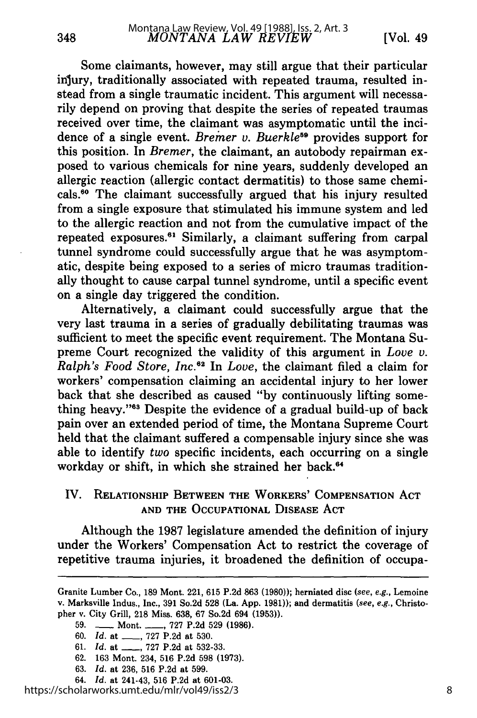Some claimants, however, may still argue that their particular injury, traditionally associated with repeated trauma, resulted instead from a single traumatic incident. This argument will necessarily depend on proving that despite the series of repeated traumas received over time, the claimant was asymptomatic until the incidence of a single event. *Bremer v. Buerkle<sup>59</sup>* provides support for this position. In *Bremer,* the claimant, an autobody repairman exposed to various chemicals for nine years, suddenly developed an allergic reaction (allergic contact dermatitis) to those same chemicals.<sup>60</sup> The claimant successfully argued that his injury resulted from a single exposure that stimulated his immune system and led to the allergic reaction and not from the cumulative impact of the repeated exposures.<sup>61</sup> Similarly, a claimant suffering from carpal tunnel syndrome could successfully argue that he was asymptomatic, despite being exposed to a series of micro traumas traditionally thought to cause carpal tunnel syndrome, until a specific event on a single day triggered the condition.

Alternatively, a claimant could successfully argue that the very last trauma in a series of gradually debilitating traumas was sufficient to meet the specific event requirement. The Montana Supreme Court recognized the validity of this argument in *Love v. Ralph's Food Store, Inc.6 2* In *Love,* the claimant filed a claim for workers' compensation claiming an accidental injury to her lower back that she described as caused "by continuously lifting something heavy."63 Despite the evidence of a gradual build-up of back pain over an extended period of time, the Montana Supreme Court held that the claimant suffered a compensable injury since she was able to identify *two* specific incidents, each occurring on a single workday or shift, in which she strained her back.<sup>64</sup>

# IV. RELATIONSHIP **BETWEEN THE** WORKERS' **COMPENSATION ACT AND THE OCCUPATIONAL** DISEASE **ACT**

Although the **1987** legislature amended the definition of injury under the Workers' Compensation Act to restrict the coverage of repetitive trauma injuries, it broadened the definition of occupa-

Granite Lumber Co., **189** Mont. 221, **615** P.2d **863 (1980));** herniated disc *(see,* e.g., Lemoine v. Marksville Indus., Inc., **391** So.2d **528** (La. App. **1981));** and dermatitis (see, e.g., Christopher v. City Grill, **218** Miss. **638, 67** So.2d 694 **(1953)).**

**<sup>59. -</sup>** Mont. **-, 727** P.2d **529 (1986).**

<sup>60.</sup> *Id.* at \_\_, **727** P.2d at **530.**

**<sup>61.</sup>** *Id.* at \_, **727** P.2d at **532-33.**

**<sup>62.</sup>** 163 Mont. 234, **516** P.2d **598 (1973).**

**<sup>63.</sup>** *Id.* at **236, 516** P.2d at **599.**

<sup>64.</sup> *Id.* at 241-43, **516** P.2d at **601-03.**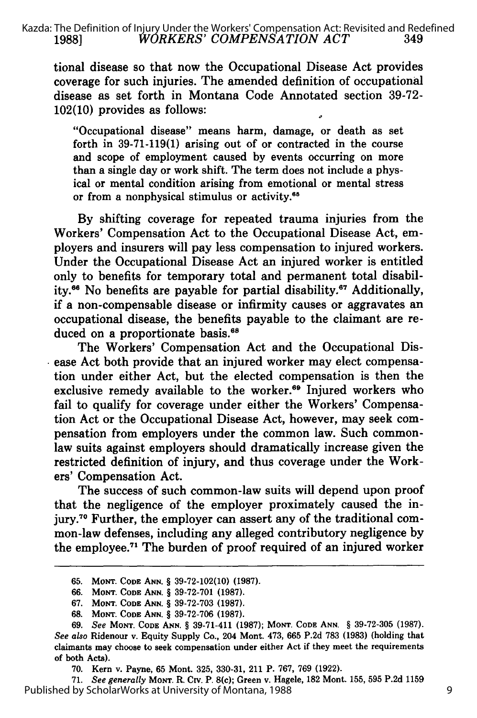tional disease so that now the Occupational Disease Act provides coverage for such injuries. The amended definition of occupational disease as set forth in Montana Code Annotated section 39-72- 102(10) provides as follows:

"Occupational disease" means harm, damage, or death as set forth in 39-71-119(1) arising out of or contracted in the course and scope of employment caused by events occurring on more than a single day or work shift. The term does not include a physical or mental condition arising from emotional or mental stress or from a nonphysical stimulus or activity.<sup>65</sup>

**By** shifting coverage for repeated trauma injuries from the Workers' Compensation Act to the Occupational Disease Act, employers and insurers will pay less compensation to injured workers. Under the Occupational Disease Act an injured worker is entitled only to benefits for temporary total and permanent total disability.<sup>66</sup> No benefits are payable for partial disability.<sup>67</sup> Additionally, if a non-compensable disease or infirmity causes or aggravates an occupational disease, the benefits payable to the claimant are reduced on a proportionate basis.<sup>68</sup>

The Workers' Compensation Act and the Occupational Disease Act both provide that an injured worker may elect compensation under either Act, but the elected compensation is then the exclusive remedy available to the worker.<sup>69</sup> Injured workers who fail to qualify for coverage under either the Workers' Compensation Act or the Occupational Disease Act, however, may seek compensation from employers under the common law. Such commonlaw suits against employers should dramatically increase given the restricted definition of injury, and thus coverage under the Workers' Compensation Act.

The success of such common-law suits will depend upon proof that the negligence of the employer proximately caused the injury.<sup>70</sup> Further, the employer can assert any of the traditional common-law defenses, including any alleged contributory negligence **by** the employee.<sup>71</sup> The burden of proof required of an injured worker

**71.** *See generally* MoNT. R. Civ. P. 8(c); Green v. Hagele, **182** Mont. **155, 595 P.2d 1159** Published by ScholarWorks at University of Montana, 1988

**<sup>65.</sup> MONT. CODE ANN.** § **39-72-102(10) (1987).**

**<sup>66.</sup> MONT. CODE ANN.** *§* **39-72-701 (1987).**

**<sup>67.</sup> MONT. CODE ANN.** *§* **39-72-703 (1987).**

**<sup>68.</sup> MONT. CODE ANN.** § **39-72-706 (1987).**

**<sup>69.</sup>** *See* **MoNT. CODE ANN.** § **39-71-411 (1987); MoNT. CODE ANN.** § **39-72-305 (1987).** *See also* Ridenour v. Equity Supply Co., 204 Mont. 473, **665 P.2d 783 (1983)** (holding that claimants may choose to seek compensation under either Act if they meet the requirements of both Acts).

**<sup>70.</sup>** Kern v. Payne, **65** Mont. **325, 330-31,** 211 P. **767, 769 (1922).**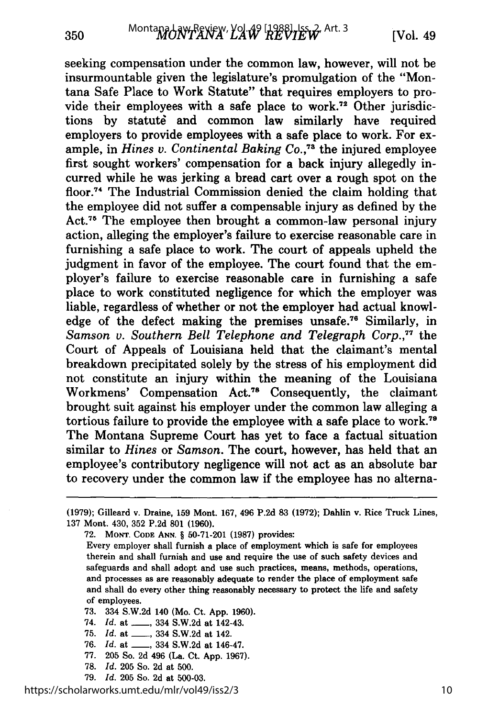seeking compensation under the common law, however, will not be insurmountable given the legislature's promulgation of the "Montana Safe Place to Work Statute" that requires employers to provide their employees with a safe place to work.72 Other jurisdictions by statute and common law similarly have required employers to provide employees with a safe place to work. For example, in *Hines v. Continental Baking Co.*<sup>73</sup> the injured employee first sought workers' compensation for a back injury allegedly incurred while he was jerking a bread cart over a rough spot on the floor.<sup>74</sup> The Industrial Commission denied the claim holding that the employee did not suffer a compensable injury as defined by the Act.<sup>75</sup> The employee then brought a common-law personal injury action, alleging the employer's failure to exercise reasonable care in furnishing a safe place to work. The court of appeals upheld the judgment in favor of the employee. The court found that the employer's failure to exercise reasonable care in furnishing a safe place to work constituted negligence for which the employer was liable, regardless of whether or not the employer had actual knowledge of the defect making the premises unsafe.<sup>76</sup> Similarly, in *Samson v. Southern Bell Telephone and Telegraph Corp.,77* the Court of Appeals of Louisiana held that the claimant's mental breakdown precipitated solely by the stress of his employment did not constitute an injury within the meaning of the Louisiana Workmens' Compensation Act.78 Consequently, the claimant brought suit against his employer under the common law alleging a tortious failure to provide the employee with a safe place to work.79 The Montana Supreme Court has yet to face a factual situation similar to *Hines* or *Samson.* The court, however, has held that an employee's contributory negligence will not act as an absolute bar to recovery under the common law if the employee has no alterna-

- **73.** 334 S.W.2d 140 (Mo. Ct. App. **1960).**
- 74. *Id.* at \_\_\_, 334 S.W.2d at 142-43.
- **75.** *Id.* at \_\_, 334 S.W.2d at 142.
- **76.** *Id.* at \_\_, 334 S.W.2d at 146-47.
- **77. 205** So. **2d** 496 (La. Ct. App. **1967).**
- **78.** *Id.* **205** So. **2d** at 500.
- **79.** *Id.* **205** So. **2d** at **500-03.**

<sup>(1979);</sup> Gilleard v. Draine, **159** Mont. 167, 496 P.2d 83 (1972); Dahlin v. Rice Truck Lines, 137 Mont. 430, 352 P.2d 801 (1960).

**<sup>72.</sup> MONT. CODE ANN.** § **50-71-201** (1987) provides:

Every employer shall furnish a place of employment which is safe for employees therein and shall furnish and use and require the use of such safety devices and safeguards and shall adopt and use such practices, means, methods, operations, and processes as are reasonably adequate to render the place of employment safe and shall do every other thing reasonably necessary to protect the life and safety of employees.